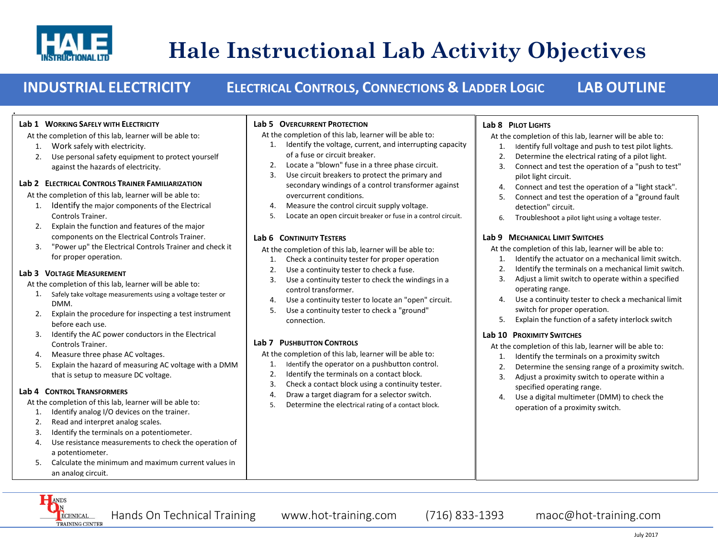

**.**

# **Hale Instructional Lab Activity Objectives**

## **INDUSTRIAL ELECTRICITY ELECTRICAL CONTROLS, CONNECTIONS & LADDER LOGIC LAB OUTLINE**

#### **Lab 1 WORKING SAFELY WITH ELECTRICITY**

At the completion of this lab, learner will be able to:

- 1. Work safely with electricity.
- 2. Use personal safety equipment to protect yourself against the hazards of electricity.

#### **Lab 2 ELECTRICAL CONTROLS TRAINER FAMILIARIZATION**

At the completion of this lab, learner will be able to:

- 1. Identify the major components of the Electrical Controls Trainer.
- 2. Explain the function and features of the major components on the Electrical Controls Trainer.
- 3. "Power up" the Electrical Controls Trainer and check it for proper operation.

#### **Lab 3 VOLTAGE MEASUREMENT**

At the completion of this lab, learner will be able to:

- 1. Safely take voltage measurements using a voltage tester or DMM.
- 2. Explain the procedure for inspecting a test instrument before each use.
- 3. Identify the AC power conductors in the Electrical Controls Trainer.
- 4. Measure three phase AC voltages.
- 5. Explain the hazard of measuring AC voltage with a DMM that is setup to measure DC voltage.

#### **Lab 4 CONTROL TRANSFORMERS**

At the completion of this lab, learner will be able to:

- 1. Identify analog I/O devices on the trainer. 2. Read and interpret analog scales.
- 3. Identify the terminals on a potentiometer.
- 4. Use resistance measurements to check the operation of a potentiometer.
- 5. Calculate the minimum and maximum current values in an analog circuit.

#### ANDS  $\mathbf{N}$ ECHNICAL TRAINING CENTER

I

**Lab 5 OVERCURRENT PROTECTION**

At the completion of this lab, learner will be able to:

2. Locate a "blown" fuse in a three phase circuit. 3. Use circuit breakers to protect the primary and

4. Measure the control circuit supply voltage.

At the completion of this lab, learner will be able to: 1. Check a continuity tester for proper operation 2. Use a continuity tester to check a fuse.

At the completion of this lab, learner will be able to: 1. Identify the operator on a pushbutton control. 2. Identify the terminals on a contact block. 3. Check a contact block using a continuity tester. 4. Draw a target diagram for a selector switch. 5. Determine the electrical rating of a contact block.

3. Use a continuity tester to check the windings in a

4. Use a continuity tester to locate an "open" circuit. 5. Use a continuity tester to check a "ground"

of a fuse or circuit breaker.

overcurrent conditions.

control transformer.

connection.

**Lab 7 PUSHBUTTON CONTROLS**

**Lab 6 CONTINUITY TESTERS**

1. Identify the voltage, current, and interrupting capacity

secondary windings of a control transformer against

5. Locate an open circuit breaker or fuse in a control circuit.

### **Lab 8 PILOT LIGHTS**

At the completion of this lab, learner will be able to:

- 1. Identify full voltage and push to test pilot lights.
- 2. Determine the electrical rating of a pilot light.
- 3. Connect and test the operation of a "push to test" pilot light circuit.
- 4. Connect and test the operation of a "light stack".
- 5. Connect and test the operation of a "ground fault detection" circuit.
- 6. Troubleshoot a pilot light using a voltage tester.

### **Lab 9 MECHANICAL LIMIT SWITCHES**

At the completion of this lab, learner will be able to:

- 1. Identify the actuator on a mechanical limit switch.
- 2. Identify the terminals on a mechanical limit switch.
- 3. Adjust a limit switch to operate within a specified operating range.
- 4. Use a continuity tester to check a mechanical limit switch for proper operation.
- 5. Explain the function of a safety interlock switch

#### **Lab 10 PROXIMITY SWITCHES**

At the completion of this lab, learner will be able to:

- 1. Identify the terminals on a proximity switch
- 2. Determine the sensing range of a proximity switch.
- 3. Adjust a proximity switch to operate within a specified operating range.
- 4. Use a digital multimeter (DMM) to check the operation of a proximity switch.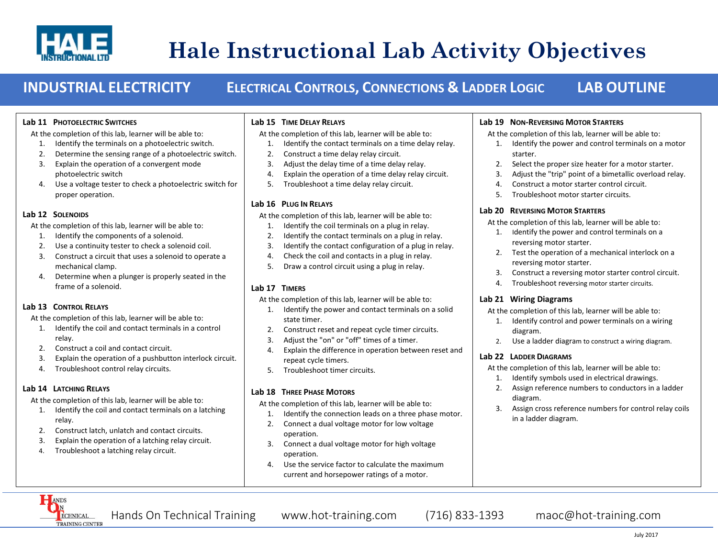

## **Hale Instructional Lab Activity Objectives**  $\ddot{\phantom{0}}$

## **INDUSTRIAL ELECTRICITY ELECTRICAL CONTROLS, CONNECTIONS & LADDER LOGIC LAB OUTLINE**

#### **Lab 11 PHOTOELECTRIC SWITCHES**

At the completion of this lab, learner will be able to:

- 1. Identify the terminals on a photoelectric switch.
- 2. Determine the sensing range of a photoelectric switch.
- 3. Explain the operation of a convergent mode photoelectric switch
- 4. Use a voltage tester to check a photoelectric switch for proper operation.

#### **Lab 12 SOLENOIDS**

At the completion of this lab, learner will be able to:

- 1. Identify the components of a solenoid.
- 2. Use a continuity tester to check a solenoid coil.
- 3. Construct a circuit that uses a solenoid to operate a mechanical clamp.
- 4. Determine when a plunger is properly seated in the frame of a solenoid.

#### **Lab 13 CONTROL RELAYS**

At the completion of this lab, learner will be able to:

- 1. Identify the coil and contact terminals in a control relay.
- 2. Construct a coil and contact circuit.
- 3. Explain the operation of a pushbutton interlock circuit.
- 4. Troubleshoot control relay circuits.

#### **Lab 14 LATCHING RELAYS**

At the completion of this lab, learner will be able to:

- 1. Identify the coil and contact terminals on a latching relay.
- 2. Construct latch, unlatch and contact circuits.
- 3. Explain the operation of a latching relay circuit.
- 4. Troubleshoot a latching relay circuit.

#### **Lab 15 TIME DELAY RELAYS**

At the completion of this lab, learner will be able to:

- 1. Identify the contact terminals on a time delay relay.
- 2. Construct a time delay relay circuit.
- 3. Adjust the delay time of a time delay relay.
- 4. Explain the operation of a time delay relay circuit.
- 5. Troubleshoot a time delay relay circuit.

#### **Lab 16 PLUG IN RELAYS**

At the completion of this lab, learner will be able to:

- 1. Identify the coil terminals on a plug in relay.
- 2. Identify the contact terminals on a plug in relay.
- 3. Identify the contact configuration of a plug in relay.
- 4. Check the coil and contacts in a plug in relay.
- 5. Draw a control circuit using a plug in relay.

#### **Lab 17 TIMERS**

At the completion of this lab, learner will be able to:

- 1. Identify the power and contact terminals on a solid state timer.
- 2. Construct reset and repeat cycle timer circuits.
- 3. Adjust the "on" or "off" times of a timer.
- 4. Explain the difference in operation between reset and repeat cycle timers.
- 5. Troubleshoot timer circuits.

### **Lab 18 THREE PHASE MOTORS**

At the completion of this lab, learner will be able to:

- 1. Identify the connection leads on a three phase motor.
- 2. Connect a dual voltage motor for low voltage operation.
- 3. Connect a dual voltage motor for high voltage operation.
- 4. Use the service factor to calculate the maximum current and horsepower ratings of a motor.

#### **Lab 19 NON-REVERSING MOTOR STARTERS**

At the completion of this lab, learner will be able to:

- 1. Identify the power and control terminals on a motor starter.
- 2. Select the proper size heater for a motor starter.
- 3. Adjust the "trip" point of a bimetallic overload relay.
- 4. Construct a motor starter control circuit.
- 5. Troubleshoot motor starter circuits.

#### **Lab 20 REVERSING MOTOR STARTERS**

At the completion of this lab, learner will be able to:

- 1. Identify the power and control terminals on a reversing motor starter.
- 2. Test the operation of a mechanical interlock on a reversing motor starter.
- 3. Construct a reversing motor starter control circuit.
- 4. Troubleshoot reversing motor starter circuits.

### **Lab 21 Wiring Diagrams**

At the completion of this lab, learner will be able to:

- 1. Identify control and power terminals on a wiring diagram.
- 2. Use a ladder diagram to construct a wiring diagram.

#### **Lab 22 LADDER DIAGRAMS**

At the completion of this lab, learner will be able to:

- 1. Identify symbols used in electrical drawings.
- 2. Assign reference numbers to conductors in a ladder diagram.
- 3. Assign cross reference numbers for control relay coils in a ladder diagram.